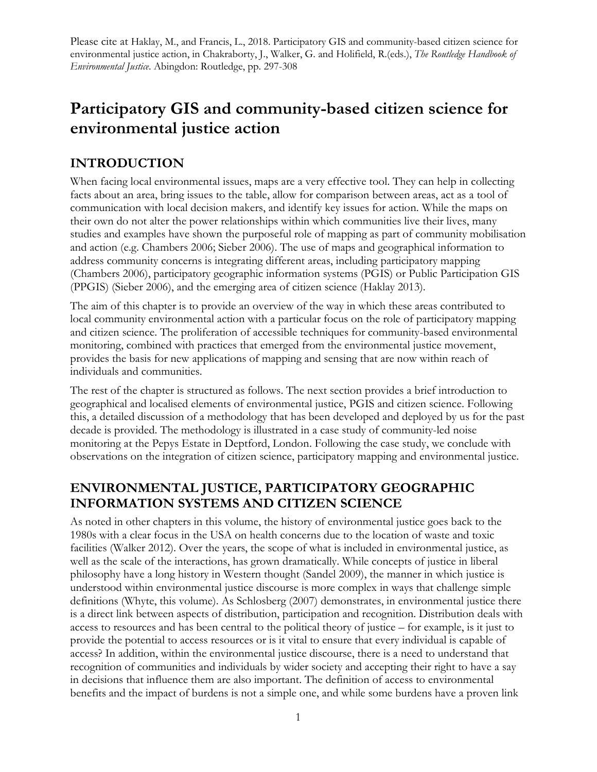Please cite at Haklay, M., and Francis, L., 2018. Participatory GIS and community-based citizen science for environmental justice action, in Chakraborty, J., Walker, G. and Holifield, R.(eds.), *The Routledge Handbook of Environmental Justice*. Abingdon: Routledge, pp. 297-308

# **Participatory GIS and community-based citizen science for environmental justice action**

#### **INTRODUCTION**

When facing local environmental issues, maps are a very effective tool. They can help in collecting facts about an area, bring issues to the table, allow for comparison between areas, act as a tool of communication with local decision makers, and identify key issues for action. While the maps on their own do not alter the power relationships within which communities live their lives, many studies and examples have shown the purposeful role of mapping as part of community mobilisation and action (e.g. Chambers 2006; Sieber 2006). The use of maps and geographical information to address community concerns is integrating different areas, including participatory mapping (Chambers 2006), participatory geographic information systems (PGIS) or Public Participation GIS (PPGIS) (Sieber 2006), and the emerging area of citizen science (Haklay 2013).

The aim of this chapter is to provide an overview of the way in which these areas contributed to local community environmental action with a particular focus on the role of participatory mapping and citizen science. The proliferation of accessible techniques for community-based environmental monitoring, combined with practices that emerged from the environmental justice movement, provides the basis for new applications of mapping and sensing that are now within reach of individuals and communities.

The rest of the chapter is structured as follows. The next section provides a brief introduction to geographical and localised elements of environmental justice, PGIS and citizen science. Following this, a detailed discussion of a methodology that has been developed and deployed by us for the past decade is provided. The methodology is illustrated in a case study of community-led noise monitoring at the Pepys Estate in Deptford, London. Following the case study, we conclude with observations on the integration of citizen science, participatory mapping and environmental justice.

# **ENVIRONMENTAL JUSTICE, PARTICIPATORY GEOGRAPHIC INFORMATION SYSTEMS AND CITIZEN SCIENCE**

As noted in other chapters in this volume, the history of environmental justice goes back to the 1980s with a clear focus in the USA on health concerns due to the location of waste and toxic facilities (Walker 2012). Over the years, the scope of what is included in environmental justice, as well as the scale of the interactions, has grown dramatically. While concepts of justice in liberal philosophy have a long history in Western thought (Sandel 2009), the manner in which justice is understood within environmental justice discourse is more complex in ways that challenge simple definitions (Whyte, this volume). As Schlosberg (2007) demonstrates, in environmental justice there is a direct link between aspects of distribution, participation and recognition. Distribution deals with access to resources and has been central to the political theory of justice – for example, is it just to provide the potential to access resources or is it vital to ensure that every individual is capable of access? In addition, within the environmental justice discourse, there is a need to understand that recognition of communities and individuals by wider society and accepting their right to have a say in decisions that influence them are also important. The definition of access to environmental benefits and the impact of burdens is not a simple one, and while some burdens have a proven link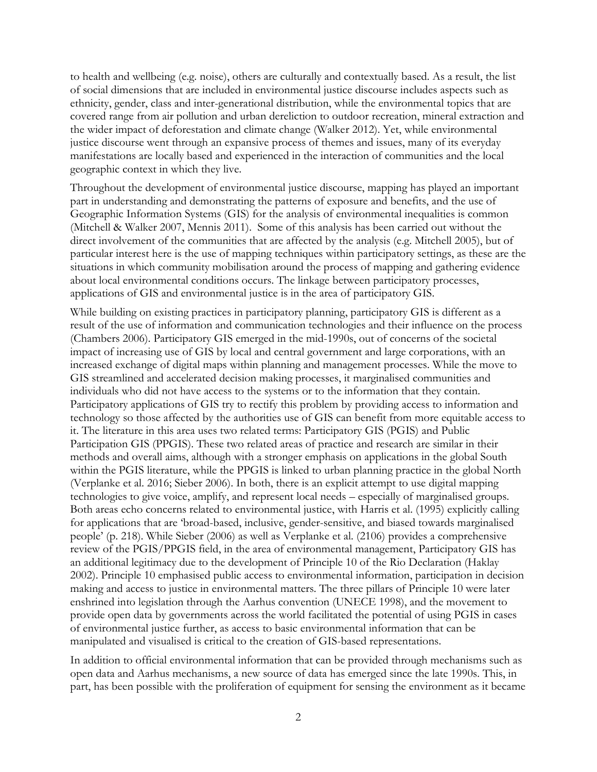to health and wellbeing (e.g. noise), others are culturally and contextually based. As a result, the list of social dimensions that are included in environmental justice discourse includes aspects such as ethnicity, gender, class and inter-generational distribution, while the environmental topics that are covered range from air pollution and urban dereliction to outdoor recreation, mineral extraction and the wider impact of deforestation and climate change (Walker 2012). Yet, while environmental justice discourse went through an expansive process of themes and issues, many of its everyday manifestations are locally based and experienced in the interaction of communities and the local geographic context in which they live.

Throughout the development of environmental justice discourse, mapping has played an important part in understanding and demonstrating the patterns of exposure and benefits, and the use of Geographic Information Systems (GIS) for the analysis of environmental inequalities is common (Mitchell & Walker 2007, Mennis 2011). Some of this analysis has been carried out without the direct involvement of the communities that are affected by the analysis (e.g. Mitchell 2005), but of particular interest here is the use of mapping techniques within participatory settings, as these are the situations in which community mobilisation around the process of mapping and gathering evidence about local environmental conditions occurs. The linkage between participatory processes, applications of GIS and environmental justice is in the area of participatory GIS.

While building on existing practices in participatory planning, participatory GIS is different as a result of the use of information and communication technologies and their influence on the process (Chambers 2006). Participatory GIS emerged in the mid-1990s, out of concerns of the societal impact of increasing use of GIS by local and central government and large corporations, with an increased exchange of digital maps within planning and management processes. While the move to GIS streamlined and accelerated decision making processes, it marginalised communities and individuals who did not have access to the systems or to the information that they contain. Participatory applications of GIS try to rectify this problem by providing access to information and technology so those affected by the authorities use of GIS can benefit from more equitable access to it. The literature in this area uses two related terms: Participatory GIS (PGIS) and Public Participation GIS (PPGIS). These two related areas of practice and research are similar in their methods and overall aims, although with a stronger emphasis on applications in the global South within the PGIS literature, while the PPGIS is linked to urban planning practice in the global North (Verplanke et al. 2016; Sieber 2006). In both, there is an explicit attempt to use digital mapping technologies to give voice, amplify, and represent local needs – especially of marginalised groups. Both areas echo concerns related to environmental justice, with Harris et al. (1995) explicitly calling for applications that are 'broad-based, inclusive, gender-sensitive, and biased towards marginalised people' (p. 218). While Sieber (2006) as well as Verplanke et al. (2106) provides a comprehensive review of the PGIS/PPGIS field, in the area of environmental management, Participatory GIS has an additional legitimacy due to the development of Principle 10 of the Rio Declaration (Haklay 2002). Principle 10 emphasised public access to environmental information, participation in decision making and access to justice in environmental matters. The three pillars of Principle 10 were later enshrined into legislation through the Aarhus convention (UNECE 1998), and the movement to provide open data by governments across the world facilitated the potential of using PGIS in cases of environmental justice further, as access to basic environmental information that can be manipulated and visualised is critical to the creation of GIS-based representations.

In addition to official environmental information that can be provided through mechanisms such as open data and Aarhus mechanisms, a new source of data has emerged since the late 1990s. This, in part, has been possible with the proliferation of equipment for sensing the environment as it became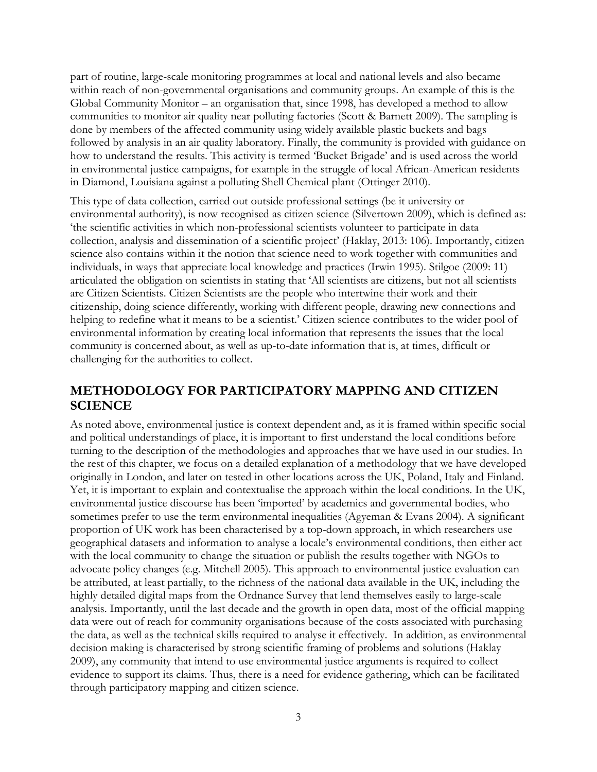part of routine, large-scale monitoring programmes at local and national levels and also became within reach of non-governmental organisations and community groups. An example of this is the Global Community Monitor – an organisation that, since 1998, has developed a method to allow communities to monitor air quality near polluting factories (Scott & Barnett 2009). The sampling is done by members of the affected community using widely available plastic buckets and bags followed by analysis in an air quality laboratory. Finally, the community is provided with guidance on how to understand the results. This activity is termed 'Bucket Brigade' and is used across the world in environmental justice campaigns, for example in the struggle of local African-American residents in Diamond, Louisiana against a polluting Shell Chemical plant (Ottinger 2010).

This type of data collection, carried out outside professional settings (be it university or environmental authority), is now recognised as citizen science (Silvertown 2009), which is defined as: 'the scientific activities in which non-professional scientists volunteer to participate in data collection, analysis and dissemination of a scientific project' (Haklay, 2013: 106). Importantly, citizen science also contains within it the notion that science need to work together with communities and individuals, in ways that appreciate local knowledge and practices (Irwin 1995). Stilgoe (2009: 11) articulated the obligation on scientists in stating that 'All scientists are citizens, but not all scientists are Citizen Scientists. Citizen Scientists are the people who intertwine their work and their citizenship, doing science differently, working with different people, drawing new connections and helping to redefine what it means to be a scientist.' Citizen science contributes to the wider pool of environmental information by creating local information that represents the issues that the local community is concerned about, as well as up-to-date information that is, at times, difficult or challenging for the authorities to collect.

### **METHODOLOGY FOR PARTICIPATORY MAPPING AND CITIZEN SCIENCE**

As noted above, environmental justice is context dependent and, as it is framed within specific social and political understandings of place, it is important to first understand the local conditions before turning to the description of the methodologies and approaches that we have used in our studies. In the rest of this chapter, we focus on a detailed explanation of a methodology that we have developed originally in London, and later on tested in other locations across the UK, Poland, Italy and Finland. Yet, it is important to explain and contextualise the approach within the local conditions. In the UK, environmental justice discourse has been 'imported' by academics and governmental bodies, who sometimes prefer to use the term environmental inequalities (Agyeman & Evans 2004). A significant proportion of UK work has been characterised by a top-down approach, in which researchers use geographical datasets and information to analyse a locale's environmental conditions, then either act with the local community to change the situation or publish the results together with NGOs to advocate policy changes (e.g. Mitchell 2005). This approach to environmental justice evaluation can be attributed, at least partially, to the richness of the national data available in the UK, including the highly detailed digital maps from the Ordnance Survey that lend themselves easily to large-scale analysis. Importantly, until the last decade and the growth in open data, most of the official mapping data were out of reach for community organisations because of the costs associated with purchasing the data, as well as the technical skills required to analyse it effectively. In addition, as environmental decision making is characterised by strong scientific framing of problems and solutions (Haklay 2009), any community that intend to use environmental justice arguments is required to collect evidence to support its claims. Thus, there is a need for evidence gathering, which can be facilitated through participatory mapping and citizen science.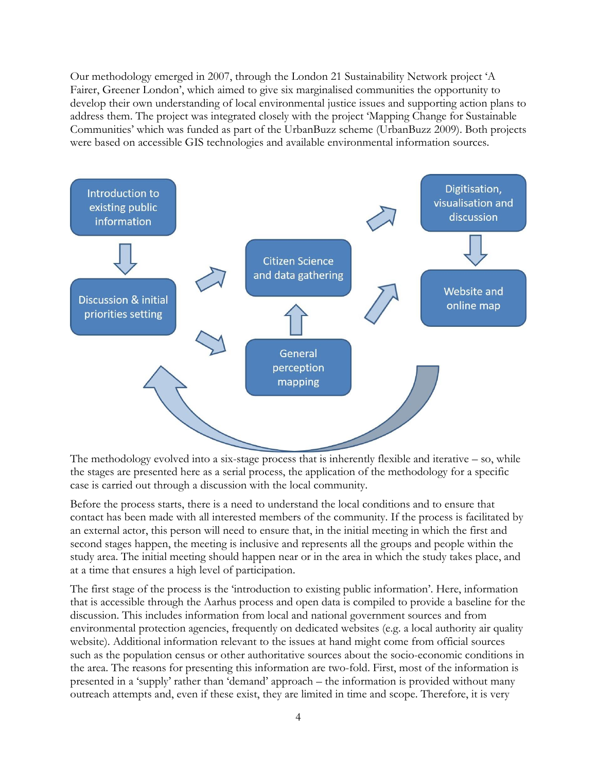Our methodology emerged in 2007, through the London 21 Sustainability Network project 'A Fairer, Greener London', which aimed to give six marginalised communities the opportunity to develop their own understanding of local environmental justice issues and supporting action plans to address them. The project was integrated closely with the project 'Mapping Change for Sustainable Communities' which was funded as part of the UrbanBuzz scheme (UrbanBuzz 2009). Both projects were based on accessible GIS technologies and available environmental information sources.



The methodology evolved into a six-stage process that is inherently flexible and iterative – so, while the stages are presented here as a serial process, the application of the methodology for a specific case is carried out through a discussion with the local community.

Before the process starts, there is a need to understand the local conditions and to ensure that contact has been made with all interested members of the community. If the process is facilitated by an external actor, this person will need to ensure that, in the initial meeting in which the first and second stages happen, the meeting is inclusive and represents all the groups and people within the study area. The initial meeting should happen near or in the area in which the study takes place, and at a time that ensures a high level of participation.

The first stage of the process is the 'introduction to existing public information'. Here, information that is accessible through the Aarhus process and open data is compiled to provide a baseline for the discussion. This includes information from local and national government sources and from environmental protection agencies, frequently on dedicated websites (e.g. a local authority air quality website). Additional information relevant to the issues at hand might come from official sources such as the population census or other authoritative sources about the socio-economic conditions in the area. The reasons for presenting this information are two-fold. First, most of the information is presented in a 'supply' rather than 'demand' approach – the information is provided without many outreach attempts and, even if these exist, they are limited in time and scope. Therefore, it is very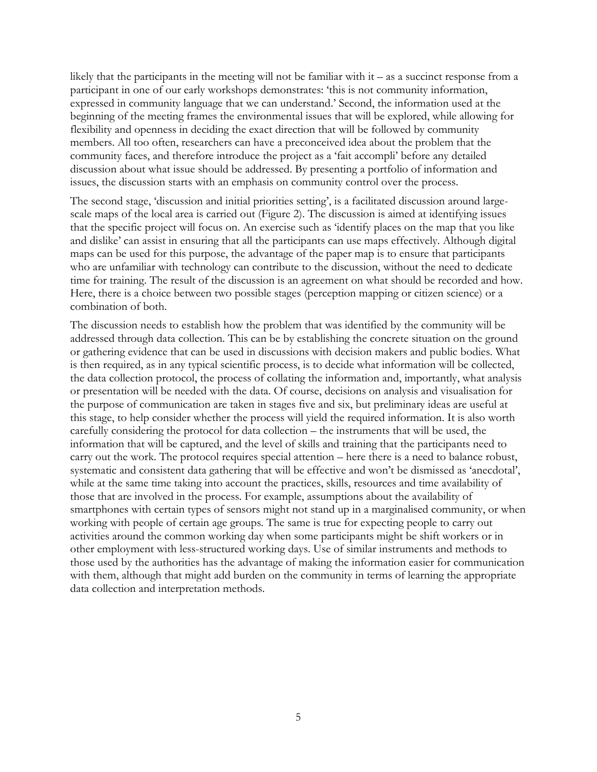likely that the participants in the meeting will not be familiar with it – as a succinct response from a participant in one of our early workshops demonstrates: 'this is not community information, expressed in community language that we can understand.' Second, the information used at the beginning of the meeting frames the environmental issues that will be explored, while allowing for flexibility and openness in deciding the exact direction that will be followed by community members. All too often, researchers can have a preconceived idea about the problem that the community faces, and therefore introduce the project as a 'fait accompli' before any detailed discussion about what issue should be addressed. By presenting a portfolio of information and issues, the discussion starts with an emphasis on community control over the process.

The second stage, 'discussion and initial priorities setting', is a facilitated discussion around largescale maps of the local area is carried out (Figure 2). The discussion is aimed at identifying issues that the specific project will focus on. An exercise such as 'identify places on the map that you like and dislike' can assist in ensuring that all the participants can use maps effectively. Although digital maps can be used for this purpose, the advantage of the paper map is to ensure that participants who are unfamiliar with technology can contribute to the discussion, without the need to dedicate time for training. The result of the discussion is an agreement on what should be recorded and how. Here, there is a choice between two possible stages (perception mapping or citizen science) or a combination of both.

The discussion needs to establish how the problem that was identified by the community will be addressed through data collection. This can be by establishing the concrete situation on the ground or gathering evidence that can be used in discussions with decision makers and public bodies. What is then required, as in any typical scientific process, is to decide what information will be collected, the data collection protocol, the process of collating the information and, importantly, what analysis or presentation will be needed with the data. Of course, decisions on analysis and visualisation for the purpose of communication are taken in stages five and six, but preliminary ideas are useful at this stage, to help consider whether the process will yield the required information. It is also worth carefully considering the protocol for data collection – the instruments that will be used, the information that will be captured, and the level of skills and training that the participants need to carry out the work. The protocol requires special attention – here there is a need to balance robust, systematic and consistent data gathering that will be effective and won't be dismissed as 'anecdotal', while at the same time taking into account the practices, skills, resources and time availability of those that are involved in the process. For example, assumptions about the availability of smartphones with certain types of sensors might not stand up in a marginalised community, or when working with people of certain age groups. The same is true for expecting people to carry out activities around the common working day when some participants might be shift workers or in other employment with less-structured working days. Use of similar instruments and methods to those used by the authorities has the advantage of making the information easier for communication with them, although that might add burden on the community in terms of learning the appropriate data collection and interpretation methods.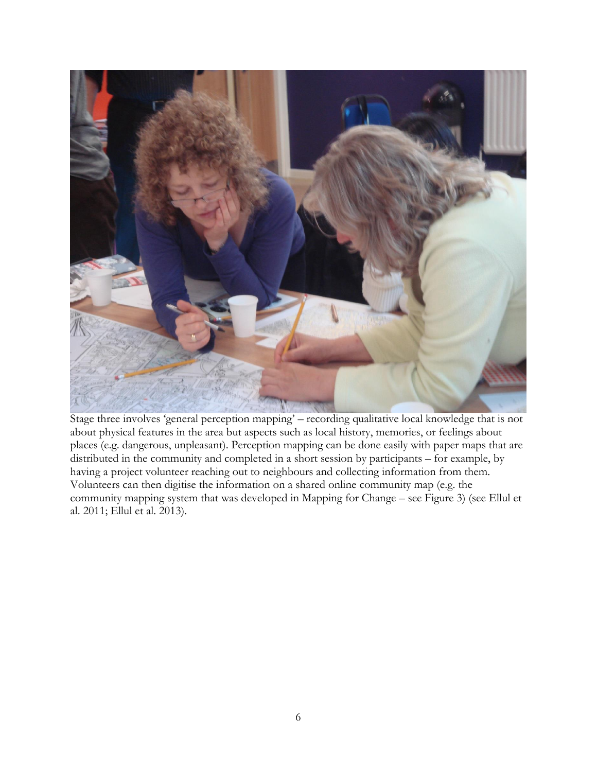

Stage three involves 'general perception mapping' – recording qualitative local knowledge that is not about physical features in the area but aspects such as local history, memories, or feelings about places (e.g. dangerous, unpleasant). Perception mapping can be done easily with paper maps that are distributed in the community and completed in a short session by participants – for example, by having a project volunteer reaching out to neighbours and collecting information from them. Volunteers can then digitise the information on a shared online community map (e.g. the community mapping system that was developed in Mapping for Change – see Figure 3) (see Ellul et al. 2011; Ellul et al. 2013).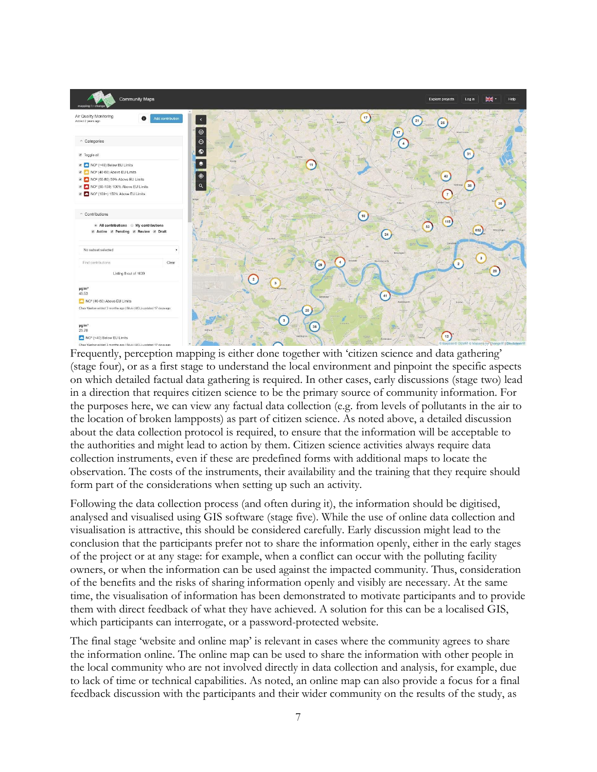

Frequently, perception mapping is either done together with 'citizen science and data gathering' (stage four), or as a first stage to understand the local environment and pinpoint the specific aspects on which detailed factual data gathering is required. In other cases, early discussions (stage two) lead in a direction that requires citizen science to be the primary source of community information. For the purposes here, we can view any factual data collection (e.g. from levels of pollutants in the air to the location of broken lampposts) as part of citizen science. As noted above, a detailed discussion about the data collection protocol is required, to ensure that the information will be acceptable to the authorities and might lead to action by them. Citizen science activities always require data collection instruments, even if these are predefined forms with additional maps to locate the observation. The costs of the instruments, their availability and the training that they require should form part of the considerations when setting up such an activity.

Following the data collection process (and often during it), the information should be digitised, analysed and visualised using GIS software (stage five). While the use of online data collection and visualisation is attractive, this should be considered carefully. Early discussion might lead to the conclusion that the participants prefer not to share the information openly, either in the early stages of the project or at any stage: for example, when a conflict can occur with the polluting facility owners, or when the information can be used against the impacted community. Thus, consideration of the benefits and the risks of sharing information openly and visibly are necessary. At the same time, the visualisation of information has been demonstrated to motivate participants and to provide them with direct feedback of what they have achieved. A solution for this can be a localised GIS, which participants can interrogate, or a password-protected website.

The final stage 'website and online map' is relevant in cases where the community agrees to share the information online. The online map can be used to share the information with other people in the local community who are not involved directly in data collection and analysis, for example, due to lack of time or technical capabilities. As noted, an online map can also provide a focus for a final feedback discussion with the participants and their wider community on the results of the study, as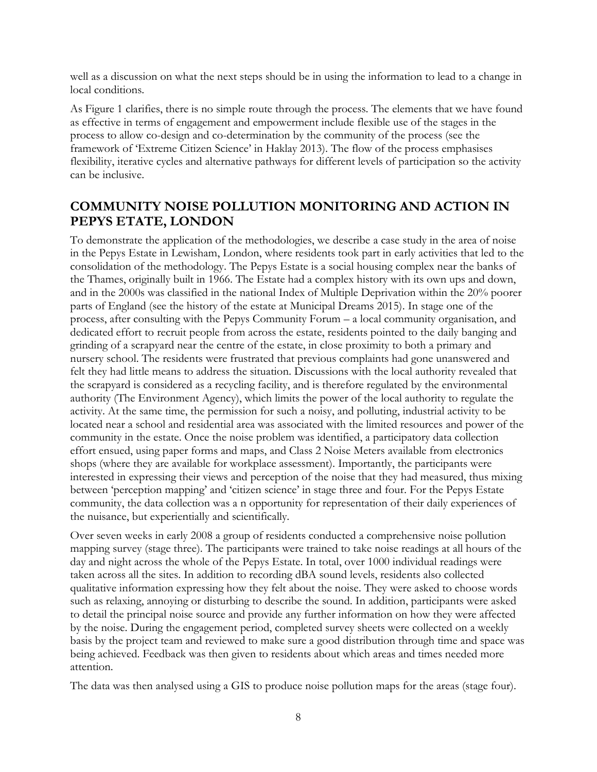well as a discussion on what the next steps should be in using the information to lead to a change in local conditions.

As Figure 1 clarifies, there is no simple route through the process. The elements that we have found as effective in terms of engagement and empowerment include flexible use of the stages in the process to allow co-design and co-determination by the community of the process (see the framework of 'Extreme Citizen Science' in Haklay 2013). The flow of the process emphasises flexibility, iterative cycles and alternative pathways for different levels of participation so the activity can be inclusive.

# **COMMUNITY NOISE POLLUTION MONITORING AND ACTION IN PEPYS ETATE, LONDON**

To demonstrate the application of the methodologies, we describe a case study in the area of noise in the Pepys Estate in Lewisham, London, where residents took part in early activities that led to the consolidation of the methodology. The Pepys Estate is a social housing complex near the banks of the Thames, originally built in 1966. The Estate had a complex history with its own ups and down, and in the 2000s was classified in the national Index of Multiple Deprivation within the 20% poorer parts of England (see the history of the estate at Municipal Dreams 2015). In stage one of the process, after consulting with the Pepys Community Forum – a local community organisation, and dedicated effort to recruit people from across the estate, residents pointed to the daily banging and grinding of a scrapyard near the centre of the estate, in close proximity to both a primary and nursery school. The residents were frustrated that previous complaints had gone unanswered and felt they had little means to address the situation. Discussions with the local authority revealed that the scrapyard is considered as a recycling facility, and is therefore regulated by the environmental authority (The Environment Agency), which limits the power of the local authority to regulate the activity. At the same time, the permission for such a noisy, and polluting, industrial activity to be located near a school and residential area was associated with the limited resources and power of the community in the estate. Once the noise problem was identified, a participatory data collection effort ensued, using paper forms and maps, and Class 2 Noise Meters available from electronics shops (where they are available for workplace assessment). Importantly, the participants were interested in expressing their views and perception of the noise that they had measured, thus mixing between 'perception mapping' and 'citizen science' in stage three and four. For the Pepys Estate community, the data collection was a n opportunity for representation of their daily experiences of the nuisance, but experientially and scientifically.

Over seven weeks in early 2008 a group of residents conducted a comprehensive noise pollution mapping survey (stage three). The participants were trained to take noise readings at all hours of the day and night across the whole of the Pepys Estate. In total, over 1000 individual readings were taken across all the sites. In addition to recording dBA sound levels, residents also collected qualitative information expressing how they felt about the noise. They were asked to choose words such as relaxing, annoying or disturbing to describe the sound. In addition, participants were asked to detail the principal noise source and provide any further information on how they were affected by the noise. During the engagement period, completed survey sheets were collected on a weekly basis by the project team and reviewed to make sure a good distribution through time and space was being achieved. Feedback was then given to residents about which areas and times needed more attention.

The data was then analysed using a GIS to produce noise pollution maps for the areas (stage four).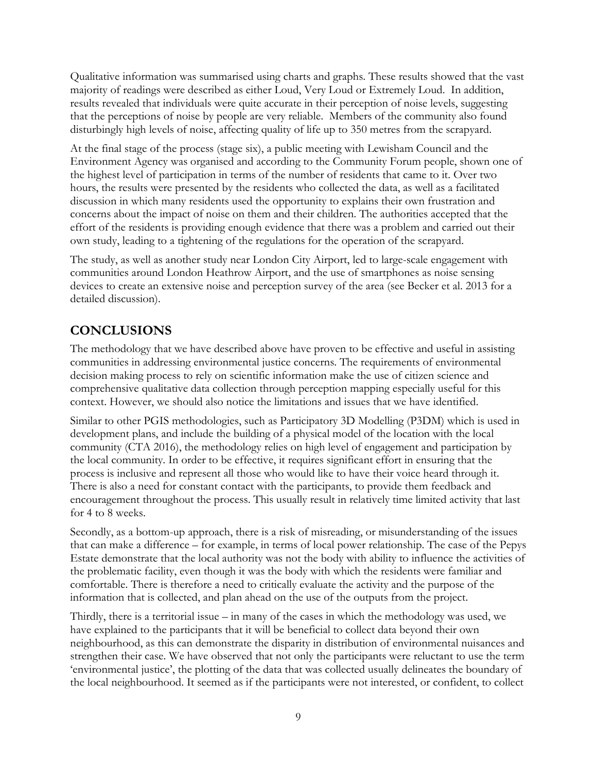Qualitative information was summarised using charts and graphs. These results showed that the vast majority of readings were described as either Loud, Very Loud or Extremely Loud. In addition, results revealed that individuals were quite accurate in their perception of noise levels, suggesting that the perceptions of noise by people are very reliable. Members of the community also found disturbingly high levels of noise, affecting quality of life up to 350 metres from the scrapyard.

At the final stage of the process (stage six), a public meeting with Lewisham Council and the Environment Agency was organised and according to the Community Forum people, shown one of the highest level of participation in terms of the number of residents that came to it. Over two hours, the results were presented by the residents who collected the data, as well as a facilitated discussion in which many residents used the opportunity to explains their own frustration and concerns about the impact of noise on them and their children. The authorities accepted that the effort of the residents is providing enough evidence that there was a problem and carried out their own study, leading to a tightening of the regulations for the operation of the scrapyard.

The study, as well as another study near London City Airport, led to large-scale engagement with communities around London Heathrow Airport, and the use of smartphones as noise sensing devices to create an extensive noise and perception survey of the area (see Becker et al. 2013 for a detailed discussion).

### **CONCLUSIONS**

The methodology that we have described above have proven to be effective and useful in assisting communities in addressing environmental justice concerns. The requirements of environmental decision making process to rely on scientific information make the use of citizen science and comprehensive qualitative data collection through perception mapping especially useful for this context. However, we should also notice the limitations and issues that we have identified.

Similar to other PGIS methodologies, such as Participatory 3D Modelling (P3DM) which is used in development plans, and include the building of a physical model of the location with the local community (CTA 2016), the methodology relies on high level of engagement and participation by the local community. In order to be effective, it requires significant effort in ensuring that the process is inclusive and represent all those who would like to have their voice heard through it. There is also a need for constant contact with the participants, to provide them feedback and encouragement throughout the process. This usually result in relatively time limited activity that last for 4 to 8 weeks.

Secondly, as a bottom-up approach, there is a risk of misreading, or misunderstanding of the issues that can make a difference – for example, in terms of local power relationship. The case of the Pepys Estate demonstrate that the local authority was not the body with ability to influence the activities of the problematic facility, even though it was the body with which the residents were familiar and comfortable. There is therefore a need to critically evaluate the activity and the purpose of the information that is collected, and plan ahead on the use of the outputs from the project.

Thirdly, there is a territorial issue – in many of the cases in which the methodology was used, we have explained to the participants that it will be beneficial to collect data beyond their own neighbourhood, as this can demonstrate the disparity in distribution of environmental nuisances and strengthen their case. We have observed that not only the participants were reluctant to use the term 'environmental justice', the plotting of the data that was collected usually delineates the boundary of the local neighbourhood. It seemed as if the participants were not interested, or confident, to collect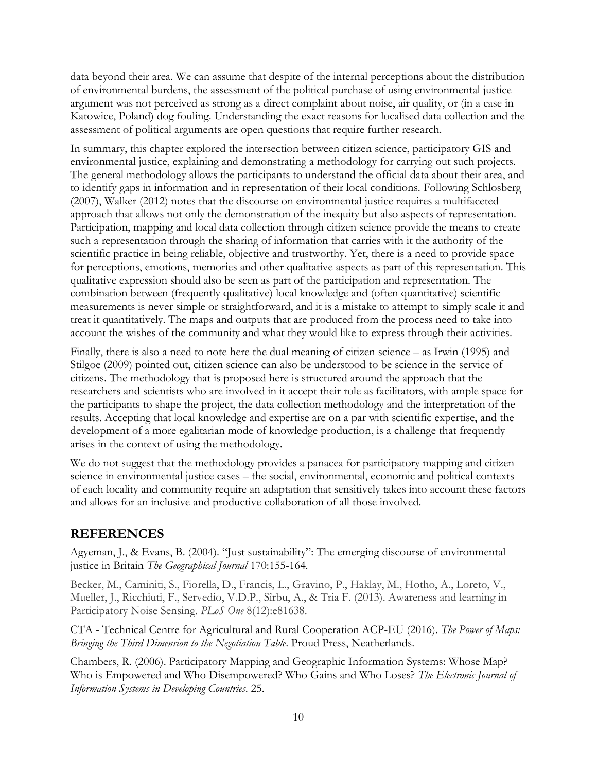data beyond their area. We can assume that despite of the internal perceptions about the distribution of environmental burdens, the assessment of the political purchase of using environmental justice argument was not perceived as strong as a direct complaint about noise, air quality, or (in a case in Katowice, Poland) dog fouling. Understanding the exact reasons for localised data collection and the assessment of political arguments are open questions that require further research.

In summary, this chapter explored the intersection between citizen science, participatory GIS and environmental justice, explaining and demonstrating a methodology for carrying out such projects. The general methodology allows the participants to understand the official data about their area, and to identify gaps in information and in representation of their local conditions. Following Schlosberg (2007), Walker (2012) notes that the discourse on environmental justice requires a multifaceted approach that allows not only the demonstration of the inequity but also aspects of representation. Participation, mapping and local data collection through citizen science provide the means to create such a representation through the sharing of information that carries with it the authority of the scientific practice in being reliable, objective and trustworthy. Yet, there is a need to provide space for perceptions, emotions, memories and other qualitative aspects as part of this representation. This qualitative expression should also be seen as part of the participation and representation. The combination between (frequently qualitative) local knowledge and (often quantitative) scientific measurements is never simple or straightforward, and it is a mistake to attempt to simply scale it and treat it quantitatively. The maps and outputs that are produced from the process need to take into account the wishes of the community and what they would like to express through their activities.

Finally, there is also a need to note here the dual meaning of citizen science – as Irwin (1995) and Stilgoe (2009) pointed out, citizen science can also be understood to be science in the service of citizens. The methodology that is proposed here is structured around the approach that the researchers and scientists who are involved in it accept their role as facilitators, with ample space for the participants to shape the project, the data collection methodology and the interpretation of the results. Accepting that local knowledge and expertise are on a par with scientific expertise, and the development of a more egalitarian mode of knowledge production, is a challenge that frequently arises in the context of using the methodology.

We do not suggest that the methodology provides a panacea for participatory mapping and citizen science in environmental justice cases – the social, environmental, economic and political contexts of each locality and community require an adaptation that sensitively takes into account these factors and allows for an inclusive and productive collaboration of all those involved.

### **REFERENCES**

Agyeman, J., & Evans, B. (2004). "Just sustainability": The emerging discourse of environmental justice in Britain *The Geographical Journal* 170:155-164.

Becker, M., Caminiti, S., Fiorella, D., Francis, L., Gravino, P., Haklay, M., Hotho, A., Loreto, V., Mueller, J., Ricchiuti, F., Servedio, V.D.P., Sîrbu, A., & Tria F. (2013). Awareness and learning in Participatory Noise Sensing. *PLoS One* 8(12):e81638.

CTA - Technical Centre for Agricultural and Rural Cooperation ACP-EU (2016). *The Power of Maps: Bringing the Third Dimension to the Negotiation Table*. Proud Press, Neatherlands.

Chambers, R. (2006). Participatory Mapping and Geographic Information Systems: Whose Map? Who is Empowered and Who Disempowered? Who Gains and Who Loses? *The Electronic Journal of Information Systems in Developing Countries*. 25.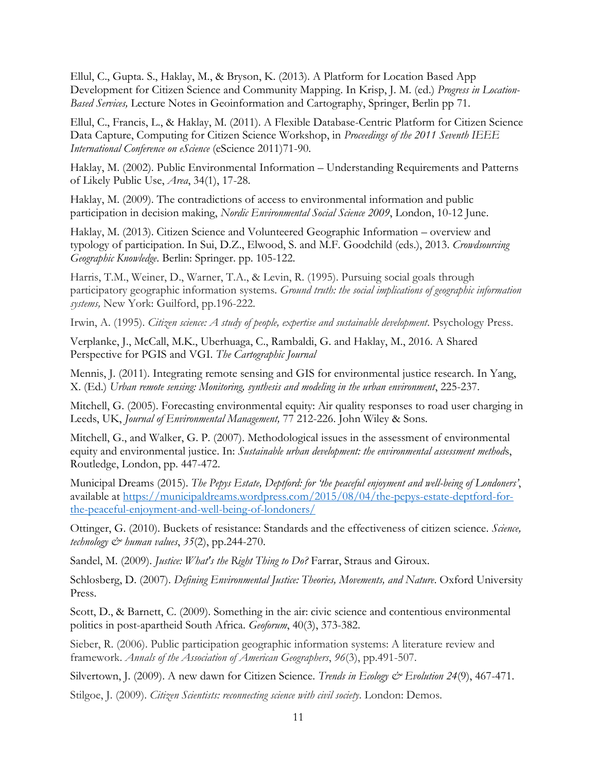Ellul, C., Gupta. S., Haklay, M., & Bryson, K. (2013). A Platform for Location Based App Development for Citizen Science and Community Mapping. In Krisp, J. M. (ed.) *Progress in Location-Based Services,* Lecture Notes in Geoinformation and Cartography, Springer, Berlin pp 71.

Ellul, C., Francis, L., & Haklay, M. (2011). A Flexible Database-Centric Platform for Citizen Science Data Capture, Computing for Citizen Science Workshop, in *Proceedings of the 2011 Seventh IEEE International Conference on eScience* (eScience 2011)71-90.

Haklay, M. (2002). Public Environmental Information – Understanding Requirements and Patterns of Likely Public Use, *Area*, 34(1), 17-28.

Haklay, M. (2009). The contradictions of access to environmental information and public participation in decision making, *Nordic Environmental Social Science 2009*, London, 10-12 June.

Haklay, M. (2013). Citizen Science and Volunteered Geographic Information – overview and typology of participation. In Sui, D.Z., Elwood, S. and M.F. Goodchild (eds.), 2013. *Crowdsourcing Geographic Knowledge*. Berlin: Springer. pp. 105-122.

Harris, T.M., Weiner, D., Warner, T.A., & Levin, R. (1995). Pursuing social goals through participatory geographic information systems. *Ground truth: the social implications of geographic information systems,* New York: Guilford, pp.196-222.

Irwin, A. (1995). *Citizen science: A study of people, expertise and sustainable development*. Psychology Press.

Verplanke, J., McCall, M.K., Uberhuaga, C., Rambaldi, G. and Haklay, M., 2016. A Shared Perspective for PGIS and VGI. *The Cartographic Journal*

Mennis, J. (2011). Integrating remote sensing and GIS for environmental justice research. In Yang, X. (Ed.) *Urban remote sensing: Monitoring, synthesis and modeling in the urban environment*, 225-237.

Mitchell, G. (2005). Forecasting environmental equity: Air quality responses to road user charging in Leeds, UK, *Journal of Environmental Management,* 77 212-226. John Wiley & Sons.

Mitchell, G., and Walker, G. P. (2007). Methodological issues in the assessment of environmental equity and environmental justice. In: *Sustainable urban development: the environmental assessment method*s, Routledge, London, pp. 447-472.

Municipal Dreams (2015). *The Pepys Estate, Deptford: for 'the peaceful enjoyment and well-being of Londoners'*, available at [https://municipaldreams.wordpress.com/2015/08/04/the-pepys-estate-deptford-for](https://municipaldreams.wordpress.com/2015/08/04/the-pepys-estate-deptford-for-the-peaceful-enjoyment-and-well-being-of-londoners/)[the-peaceful-enjoyment-and-well-being-of-londoners/](https://municipaldreams.wordpress.com/2015/08/04/the-pepys-estate-deptford-for-the-peaceful-enjoyment-and-well-being-of-londoners/)

Ottinger, G. (2010). Buckets of resistance: Standards and the effectiveness of citizen science. *Science, technology & human values*, *35*(2), pp.244-270.

Sandel, M. (2009). *Justice: What's the Right Thing to Do?* Farrar, Straus and Giroux.

Schlosberg, D. (2007). *Defining Environmental Justice: Theories, Movements, and Nature*. Oxford University Press.

Scott, D., & Barnett, C. (2009). Something in the air: civic science and contentious environmental politics in post-apartheid South Africa. *Geoforum*, 40(3), 373-382.

Sieber, R. (2006). Public participation geographic information systems: A literature review and framework. *Annals of the Association of American Geographers*, *96*(3), pp.491-507.

Silvertown, J. (2009). A new dawn for Citizen Science. *Trends in Ecology & Evolution 24*(9), 467-471.

Stilgoe, J. (2009). *Citizen Scientists: reconnecting science with civil society*. London: Demos.